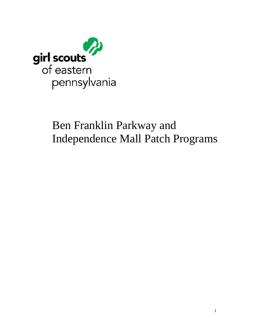

# Ben Franklin Parkway and Independence Mall Patch Programs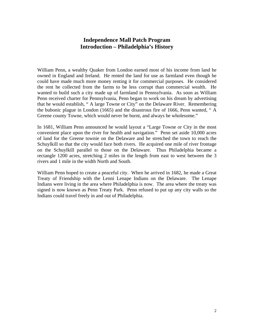## **Independence Mall Patch Program Introduction – Philadelphia's History**

William Penn, a wealthy Quaker from London earned most of his income from land he owned in England and Ireland. He rented the land for use as farmland even though he could have made much more money renting it for commercial purposes. He considered the rent he collected from the farms to be less corrupt than commercial wealth. He wanted to build such a city made up of farmland in Pennsylvania. As soon as William Penn received charter for Pennsylvania, Penn began to work on his dream by advertising that he would establish, " A large Towne or City" on the Delaware River. Remembering the bubonic plague in London (1665) and the disastrous fire of 1666, Penn wanted, " A Greene county Towne, which would never be burnt, and always be wholesome."

In 1681, William Penn announced he would layout a "Large Towne or City in the most convenient place upon the river for health and navigation." Penn set aside 10,000 acres of land for the Greene townie on the Delaware and he stretched the town to reach the Schuylkill so that the city would face both rivers. He acquired one mile of river frontage on the Schuylkill parallel to those on the Delaware. Thus Philadelphia became a rectangle 1200 acres, stretching 2 miles in the length from east to west between the 3 rivers and 1 mile in the width North and South.

William Penn hoped to create a peaceful city. When he arrived in 1682, he made a Great Treaty of Friendship with the Lenni Lenape Indians on the Delaware. The Lenape Indians were living in the area where Philadelphia is now. The area where the treaty was signed is now known as Penn Treaty Park. Penn refused to put up any city walls so the Indians could travel freely in and out of Philadelphia.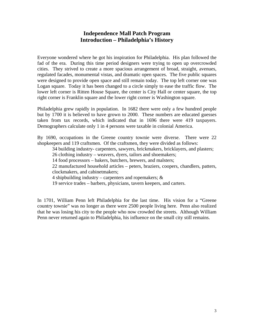## **Independence Mall Patch Program Introduction – Philadelphia's History**

Everyone wondered where he got his inspiration for Philadelphia. His plan followed the fad of the era. During this time period designers were trying to open up overcrowded cities. They strived to create a more spacious arrangement of broad, straight, avenues, regulated facades, monumental vistas, and dramatic open spaces. The five public squares were designed to provide open space and still remain today. The top left corner one was Logan square. Today it has been changed to a circle simply to ease the traffic flow. The lower left corner is Ritten House Square, the center is City Hall or center square, the top right corner is Franklin square and the lower right corner is Washington square.

Philadelphia grew rapidly in population. In 1682 there were only a few hundred people but by 1700 it is believed to have grown to 2000. These numbers are educated guesses taken from tax records, which indicated that in 1696 there were 419 taxpayers. Demographers calculate only 1 in 4 persons were taxable in colonial America.

By 1690, occupations in the Greene country townie were diverse. There were 22 shopkeepers and 119 craftsmen. Of the craftsmen, they were divided as follows:

 34 building industry- carpenters, sawyers, brickmakers, bricklayers, and plasters; 26 clothing industry – weavers, dyers, tailors and shoemakers;

14 food processors – bakers, butchers, brewers, and malsters;

22 manufactured household articles – peters, braziers, coopers, chandlers, patters, clockmakers, and cabinetmakers;

4 shipbuilding industry – carpenters and ropemakers;  $\&$ 

19 service trades – barbers, physicians, tavern keepers, and carters.

In 1701, William Penn left Philadelphia for the last time. His vision for a "Greene country townie" was no longer as there were 2500 people living here. Penn also realized that he was losing his city to the people who now crowded the streets. Although William Penn never returned again to Philadelphia, his influence on the small city still remains.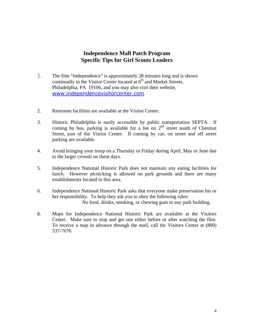## **Independence Mall Patch Program Specific Tips for Girl Scouts Leaders**

- 1. The film "Independence" is approximately 28 minutes long and is shown continually in the Visitor Center located at  $6<sup>th</sup>$  and Market Streets, Philadelphia, PA 19106, and you may also visit their website, www.independencevisitorcenter.com
- 2. Restroom facilities are available at the Visitor Center.
- 3. Historic Philadelphia is easily accessible by public transportation SEPTA. If coming by bus, parking is available for a fee on  $2<sup>nd</sup>$  street south of Chestnut Street, east of the Visitor Center. If coming by car, on street and off street parking are available.
- 4. Avoid bringing your troop on a Thursday or Friday during April, May or June due to the larger crowds on these days.
- 5. Independence National Historic Park does not maintain any eating facilities for lunch. However picnicking is allowed on park grounds and there are many establishments located in this area.
- 6. Independence National Historic Park asks that everyone make preservation his or her responsibility. To help they ask you to obey the following rules: No food, drinks, smoking, or chewing gum in any park building.
- 8. Maps for Independence National Historic Park are available at the Visitors Center. Make sure to stop and get one either before or after watching the film. To receive a map in advance through the mail, call the Visitors Center at (800) 537-7676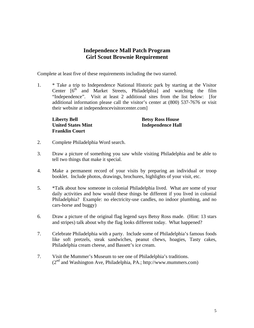## **Independence Mall Patch Program Girl Scout Brownie Requirement**

Complete at least five of these requirements including the two starred.

1. \* Take a trip to Independence National Historic park by starting at the Visitor Center  $16<sup>th</sup>$  and Market Streets, Philadelphia) and watching the film "Independence". Visit at least 2 additional sites from the list below: [for additional information please call the visitor's center at (800) 537-7676 or visit their website at independencevisitorcenter.com]

**Liberty Bell Betsy Ross House Franklin Court** 

**United States Mint Independence Hall** 

- 2. Complete Philadelphia Word search.
- 3. Draw a picture of something you saw while visiting Philadelphia and be able to tell two things that make it special.
- 4. Make a permanent record of your visits by preparing an individual or troop booklet. Include photos, drawings, brochures, highlights of your visit, etc.
- 5. \*Talk about how someone in colonial Philadelphia lived. What are some of your daily activities and how would these things be different if you lived in colonial Philadelphia? Example: no electricity-use candles, no indoor plumbing, and no cars-horse and buggy)
- 6. Draw a picture of the original flag legend says Betsy Ross made. (Hint: 13 stars and stripes) talk about why the flag looks different today. What happened?
- 7. Celebrate Philadelphia with a party. Include some of Philadelphia's famous foods like soft pretzels, steak sandwiches, peanut chews, hoagies, Tasty cakes, Philadelphia cream cheese, and Bassett's ice cream.
- 7. Visit the Mummer's Museum to see one of Philadelphia's traditions.  $(2<sup>nd</sup>$  and Washington Ave, Philadelphia, PA.; http://www.mummers.com)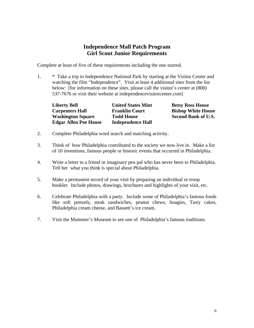# **Independence Mall Patch Program Girl Scout Junior Requirements**

Complete at least of five of these requirements including the one starred.

1. \* Take a trip to Independence National Park by starting at the Visitor Center and watching the film "Independence". Visit at least 4 additional sites from the list below: [for information on these sites, please call the visitor's center at (800) 537-7676 or visit their website at independencevisitorcenter.com]

| <b>Liberty Bell</b>          | <b>United States Mint</b> | <b>Betsy Ross House</b>    |
|------------------------------|---------------------------|----------------------------|
| <b>Carpenters Hall</b>       | <b>Franklin Court</b>     | <b>Bishop White House</b>  |
| <b>Washington Square</b>     | <b>Todd House</b>         | <b>Second Bank of U.S.</b> |
| <b>Edgar Allen Poe House</b> | <b>Independence Hall</b>  |                            |

- 2. Complete Philadelphia word search and matching activity.
- 3. Think of how Philadelphia contributed to the society we now live in. Make a list of 10 inventions, famous people or historic events that occurred in Philadelphia.
- 4. Write a letter to a friend or imaginary pen pal who has never been to Philadelphia. Tell her what you think is special about Philadelphia.
- 5. Make a permanent record of your visit by preparing an individual or troop booklet. Include photos, drawings, brochures and highlights of your visit, etc.
- 6. Celebrate Philadelphia with a party. Include some of Philadelphia's famous foods like soft pretzels, steak sandwiches, peanut chews, hoagies, Tasty cakes, Philadelphia cream cheese, and Bassett's ice cream.
- 7. Visit the Mummer's Museum to see one of Philadelphia's famous traditions.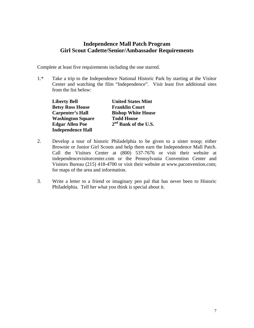# **Independence Mall Patch Program Girl Scout Cadette/Senior/Ambassador Requirements**

Complete at least five requirements including the one starred.

1.\* Take a trip to the Independence National Historic Park by starting at the Visitor Center and watching the film "Independence". Visit least five additional sites from the list below:

**Betsy Ross House** Franklin Court  **Washington Square Todd House Independence Hall**

**Liberty Bell United States Mint Carpenter's Hall Bishop White House** Edgar Allen Poe 2<sup>nd</sup> Bank of the U.S.

- 2. Develop a tour of historic Philadelphia to be given to a sister troop; either Brownie or Junior Girl Scouts and help them earn the Independence Mall Patch. Call the Visitors Center at (800) 537-7676 or visit their website at independencevisitorcenter.com or the Pennsylvania Convention Center and Visitors Bureau (215) 418-4700 or visit their website at www.paconvention.com; for maps of the area and information.
- 3. Write a letter to a friend or imaginary pen pal that has never been to Historic Philadelphia. Tell her what you think is special about it.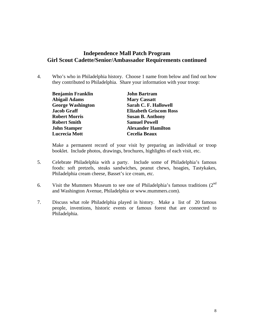## **Independence Mall Patch Program Girl Scout Cadette/Senior/Ambassador Requirements continued**

4. Who's who in Philadelphia history. Choose 1 name from below and find out how they contributed to Philadelphia. Share your information with your troop:

| <b>Benjamin Franklin</b> | <b>John Bartram</b>           |  |
|--------------------------|-------------------------------|--|
| <b>Abigail Adams</b>     | <b>Mary Cassatt</b>           |  |
| <b>George Washington</b> | Sarah C. F. Hallowell         |  |
| <b>Jacob Graff</b>       | <b>Elizabeth Griscom Ross</b> |  |
| <b>Robert Morris</b>     | <b>Susan B. Anthony</b>       |  |
| <b>Robert Smith</b>      | <b>Samuel Powell</b>          |  |
| John Stamper             | <b>Alexander Hamilton</b>     |  |
| <b>Lucrecia Mott</b>     | <b>Cecelia Beaux</b>          |  |

Make a permanent record of your visit by preparing an individual or troop booklet. Include photos, drawings, brochures, highlights of each visit, etc.

- 5. Celebrate Philadelphia with a party. Include some of Philadelphia's famous foods: soft pretzels, steaks sandwiches, peanut chews, hoagies, Tastykakes, Philadelphia cream cheese, Basset's ice cream, etc.
- 6. Visit the Mummers Museum to see one of Philadelphia's famous traditions  $(2^{nd}$ and Washington Avenue, Philadelphia or www.mummers.com).
- 7. Discuss what role Philadelphia played in history. Make a list of 20 famous people, inventions, historic events or famous forest that are connected to Philadelphia.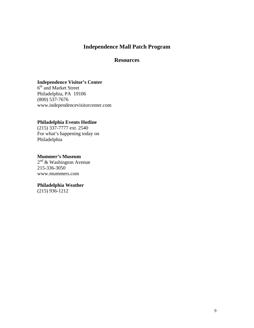# **Independence Mall Patch Program**

## **Resources**

## **Independence Visitor's Center**

6<sup>th</sup> and Market Street Philadelphia, PA 19106 (800) 537-7676 www.independencevisitorcenter.com

## **Philadelphia Events Hotline**

(215) 337-7777 ext. 2540 For what's happening today on Philadelphia

## **Mummer's Museum**

 $2^{nd}$  & Washington Avenue 215-336-3050 www.mummers.com

## **Philadelphia Weather**

(215) 936-1212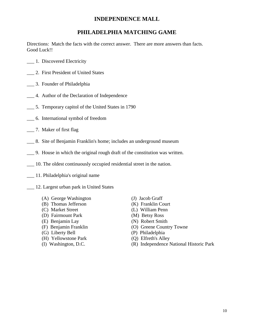# **INDEPENDENCE MALL**

## **PHILADELPHIA MATCHING GAME**

Directions: Match the facts with the correct answer. There are more answers than facts. Good Luck!!

- \_\_\_ 1. Discovered Electricity
- \_\_\_ 2. First President of United States
- \_\_\_ 3. Founder of Philadelphia
- \_\_\_ 4. Author of the Declaration of Independence
- \_\_\_ 5. Temporary capitol of the United States in 1790
- \_\_\_ 6. International symbol of freedom
- \_\_\_ 7. Maker of first flag
- \_\_\_ 8. Site of Benjamin Franklin's home; includes an underground museum
- \_\_\_ 9. House in which the original rough draft of the constitution was written.
- \_\_\_ 10. The oldest continuously occupied residential street in the nation.
- \_\_\_ 11. Philadelphia's original name
- \_\_\_ 12. Largest urban park in United States
	- (A) George Washington (J) Jacob Graff
	- (B) Thomas Jefferson (K) Franklin Court
	-
	- (D) Fairmount Park (M) Betsy Ross
	-
	-
	-
	- (H) Yellowstone Park (Q) Elfreth's Alley
	-
- 
- 
- (C) Market Street (L) William Penn
	-
- (E) Benjamin Lay (N) Robert Smith
- (F) Benjamin Franklin (O) Greene Country Towne
- (G) Liberty Bell (P) Philadelphia
	-
- (I) Washington, D.C. (R) Independence National Historic Park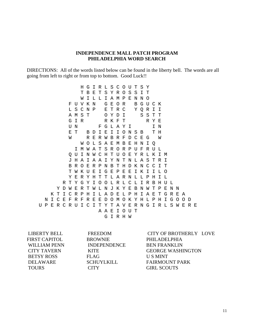### **INDEPENDENCE MALL PATCH PROGRAM PHILADELPHIA WORD SEARCH**

DIRECTIONS: All of the words listed below can be found in the liberty bell. The words are all going from left to right or from top to bottom. Good Luck!!

 H G I R L S C O U T S Y T B E T S Y R O S S I T W I L L I A M P E N N O F U V K N G E O R B G U C K L S C N P E T R C Y Q R I I A M S T O Y D I S S T T G I R R K F T R Y E U N F G L A Y I I N E T B D I E I I O N S B T H W R E R W B R F D C E G W W O L S A E M B E H N I Q I M W A T S R O R P U F R U L Q U I N W C H T U O E Y R L K I M J H A I A A I Y N T N L A S T R I B R O E R P N B T H D K N C C I T T W K U E I G E P E E I K I I L O Y E R Y H T T L A R N L L P H I L R T Y G Y I O O L R L C L I R B H U L Y D W E R T W L N J K Y E B N W T P E N N K T I C R P H I L A D E L P H I A E T G R E A N I C E F R F R E E D O M O K Y H L P H I G O O D U P E R C R U I C I T Y T A V E R N G I R L S W E R E A A E I O U T G I R H W

FIRST CAPITOL BROWNIE PHILADELPHIA WILLIAM PENN INDEPENDENCE BEN FRANKLIN BETSY ROSS FLAG US MINT TOURS CITY GIRL SCOUTS

 LIBERTY BELL FREEDOM CITY OF BROTHERLY LOVE CITY TAVERN KITE GEORGE WASHINGTON DELAWARE SCHUYLKILL FAIRMOUNT PARK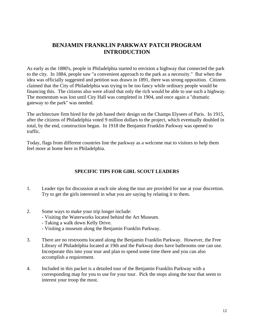# **BENJAMIN FRANKLIN PARKWAY PATCH PROGRAM INTRODUCTION**

As early as the 1880's, people in Philadelphia started to envision a highway that connected the park to the city. In 1884, people saw "a convenient approach to the park as a necessity." But when the idea was officially suggested and petition was drawn in 1891, there was strong opposition. Citizens claimed that the City of Philadelphia was trying to be too fancy while ordinary people would be financing this. The citizens also were afraid that only the rich would be able to use such a highway. The momentum was lost until City Hall was completed in 1904, and once again a "dramatic gateway to the park" was needed.

The architecture firm hired for the job based their design on the Champs Elysees of Paris. In 1915, after the citizens of Philadelphia voted 9 million dollars to the project, which eventually doubled in total, by the end, construction began. In 1918 the Benjamin Franklin Parkway was opened to traffic.

Today, flags from different countries line the parkway as a welcome mat to visitors to help them feel more at home here in Philadelphia.

## **SPECIFIC TIPS FOR GIRL SCOUT LEADERS**

- 1. Leader tips for discussion at each site along the tour are provided for use at your discretion. Try to get the girls interested in what you are saying by relating it to them.
- 2. Some ways to make your trip longer include:
	- Visiting the Waterworks located behind the Art Museum.
		- Taking a walk down Kelly Drive.
		- Visiting a museum along the Benjamin Franklin Parkway.
- 3. There are no restrooms located along the Benjamin Franklin Parkway. However, the Free Library of Philadelphia located at 19th and the Parkway does have bathrooms one can use. Incorporate this into your tour and plan to spend some time there and you can also accomplish a requirement.
- 4. Included in this packet is a detailed tour of the Benjamin Franklin Parkway with a corresponding map for you to use for your tour. Pick the stops along the tour that seem to interest your troop the most.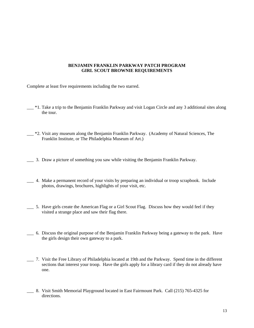#### **BENJAMIN FRANKLIN PARKWAY PATCH PROGRAM GIRL SCOUT BROWNIE REQUIREMENTS**

Complete at least five requirements including the two starred.

- <sup>\*1</sup>. Take a trip to the Benjamin Franklin Parkway and visit Logan Circle and any 3 additional sites along the tour.
- \_\_\_ \*2. Visit any museum along the Benjamin Franklin Parkway. (Academy of Natural Sciences, The Franklin Institute, or The Philadelphia Museum of Art.)
- \_\_\_ 3. Draw a picture of something you saw while visiting the Benjamin Franklin Parkway.
- \_\_\_ 4. Make a permanent record of your visits by preparing an individual or troop scrapbook. Include photos, drawings, brochures, highlights of your visit, etc.
- \_\_\_ 5. Have girls create the American Flag or a Girl Scout Flag. Discuss how they would feel if they visited a strange place and saw their flag there.
- \_\_\_ 6. Discuss the original purpose of the Benjamin Franklin Parkway being a gateway to the park. Have the girls design their own gateway to a park.
- \_\_\_ 7. Visit the Free Library of Philadelphia located at 19th and the Parkway. Spend time in the different sections that interest your troop. Have the girls apply for a library card if they do not already have one.
- \_\_\_ 8. Visit Smith Memorial Playground located in East Fairmount Park. Call (215) 765-4325 for directions.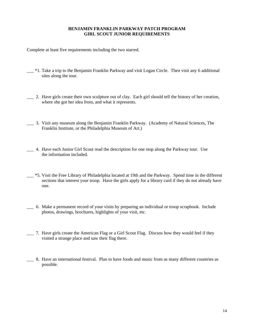## **BENJAMIN FRANKLIN PARKWAY PATCH PROGRAM GIRL SCOUT JUNIOR REQUIREMENTS**

Complete at least five requirements including the two starred.

- <sup>\*1</sup>. Take a trip to the Benjamin Franklin Parkway and visit Logan Circle. Then visit any 6 additional sites along the tour.
- \_\_\_ 2. Have girls create their own sculpture out of clay. Each girl should tell the history of her creation, where she got her idea from, and what it represents.
- \_\_\_ 3. Visit any museum along the Benjamin Franklin Parkway. (Academy of Natural Sciences, The Franklin Institute, or the Philadelphia Museum of Art.)
- \_\_\_ 4. Have each Junior Girl Scout read the description for one stop along the Parkway tour. Use the information included.
- \_\_\_ \*5. Visit the Free Library of Philadelphia located at 19th and the Parkway. Spend time in the different sections that interest your troop. Have the girls apply for a library card if they do not already have one.
- \_\_\_ 6. Make a permanent record of your visits by preparing an individual or troop scrapbook. Include photos, drawings, brochures, highlights of your visit, etc.
- \_\_\_ 7. Have girls create the American Flag or a Girl Scout Flag. Discuss how they would feel if they visited a strange place and saw their flag there.
- \_\_\_ 8. Have an international festival. Plan to have foods and music from as many different countries as possible.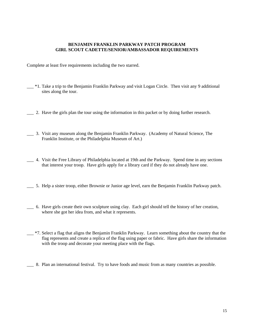#### **BENJAMIN FRANKLIN PARKWAY PATCH PROGRAM GIRL SCOUT CADETTE/SENIOR/AMBASSADOR REQUIREMENTS**

Complete at least five requirements including the two starred.

- <sup>\*1</sup>. Take a trip to the Benjamin Franklin Parkway and visit Logan Circle. Then visit any 9 additional sites along the tour.
- \_\_\_ 2. Have the girls plan the tour using the information in this packet or by doing further research.
- \_\_\_ 3. Visit any museum along the Benjamin Franklin Parkway. (Academy of Natural Science, The Franklin Institute, or the Philadelphia Museum of Art.)
- \_\_\_ 4. Visit the Free Library of Philadelphia located at 19th and the Parkway. Spend time in any sections that interest your troop. Have girls apply for a library card if they do not already have one.
- \_\_\_ 5. Help a sister troop, either Brownie or Junior age level, earn the Benjamin Franklin Parkway patch.
- \_\_\_ 6. Have girls create their own sculpture using clay. Each girl should tell the history of her creation, where she got her idea from, and what it represents.
- \_\_\_ \*7. Select a flag that aligns the Benjamin Franklin Parkway. Learn something about the country that the flag represents and create a replica of the flag using paper or fabric. Have girls share the information with the troop and decorate your meeting place with the flags.
- \_\_\_ 8. Plan an international festival. Try to have foods and music from as many countries as possible.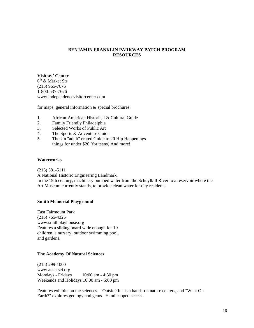## **BENJAMIN FRANKLIN PARKWAY PATCH PROGRAM RESOURCES**

#### **Visitors' Center**

 $6<sup>th</sup>$  & Market Sts (215) 965-7676 1-800-537-7676 www.independencevisitorcenter.com

for maps, general information  $&$  special brochures:

- 1. African-American Historical & Cultural Guide
- 2. Family Friendly Philadelphia
- 3. Selected Works of Public Art
- 4. The Sports & Adventure Guide
- 5. The Un "adult" erated Guide to 20 Hip Happenings things for under \$20 (for teens) And more!

#### **Waterworks**

(215) 581-5111

A National Historic Engineering Landmark.

In the 19th century, machinery pumped water from the Schuylkill River to a reservoir where the Art Museum currently stands, to provide clean water for city residents.

#### **Smith Memorial Playground**

East Fairmount Park (215) 765-4325 www.smithplayhouse.org Features a sliding board wide enough for 10 children, a nursery, outdoor swimming pool, and gardens.

#### **The Academy Of Natural Sciences**

(215) 299-1000 www.acnatsci.org Mondays - Fridays 10:00 am - 4:30 pm Weekends and Holidays 10:00 am - 5:00 pm

Features exhibits on the sciences. "Outside In" is a hands-on nature centers, and "What On Earth?" explores geology and gems. Handicapped access.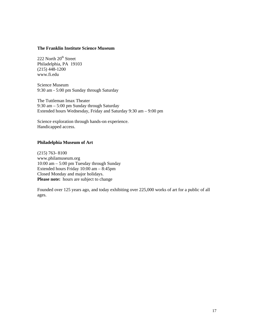#### **The Franklin Institute Science Museum**

222 North  $20<sup>th</sup>$  Street Philadelphia, PA 19103 (215) 448-1200 www.fi.edu

Science Museum 9:30 am - 5:00 pm Sunday through Saturday

The Tuttleman Imax Theater 9:30 am – 5:00 pm Sunday through Saturday Extended hours Wednesday, Friday and Saturday 9:30 am – 9:00 pm

Science exploration through hands-on experience. Handicapped access.

#### **Philadelphia Museum of Art**

(215) 763- 8100 www.philamuseum.org 10:00 am – 5:00 pm Tuesday through Sunday Extended hours Friday 10:00 am – 8:45pm Closed Monday and major holidays. Please note: hours are subject to change

Founded over 125 years ago, and today exhibiting over 225,000 works of art for a public of all ages.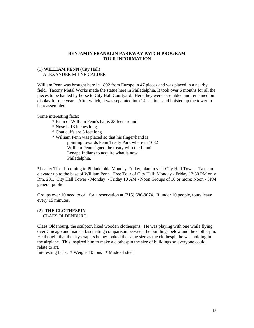#### **BENJAMIN FRANKLIN PARKWAY PATCH PROGRAM TOUR INFORMATION**

#### (1) **WILLIAM PENN** (City Hall) ALEXANDER MILNE CALDER

William Penn was brought here in 1892 from Europe in 47 pieces and was placed in a nearby field. Tacony Metal Works made the statue here in Philadelphia. It took over 6 months for all the pieces to be hauled by horse to City Hall Courtyard. Here they were assembled and remained on display for one year. After which, it was separated into 14 sections and hoisted up the tower to be reassembled.

Some interesting facts:

- \* Brim of William Penn's hat is 23 feet around
- \* Nose is 13 inches long
- \* Coat cuffs are 3 feet long
- \* William Penn was placed so that his finger/hand is
	- pointing towards Penn Treaty Park where in 1682 William Penn signed the treaty with the Lenni Lenape Indians to acquire what is now Philadelphia.

\*Leader Tips: If coming to Philadelphia Monday-Friday, plan to visit City Hall Tower. Take an elevator up to the base of William Penn. Free Tour of City Hall: Monday - Friday 12:30 PM only Rm. 201. City Hall Tower - Monday - Friday 10 AM - Noon Groups of 10 or more; Noon - 3PM general public

Groups over 10 need to call for a reservation at (215) 686-9074. If under 10 people, tours leave every 15 minutes.

#### (2) **THE CLOTHESPIN** CLAES OLDENBURG

Claes Oldenburg, the sculptor, liked wooden clothespins. He was playing with one while flying over Chicago and made a fascinating comparison between the buildings below and the clothespin. He thought that the skyscrapers below looked the same size as the clothespin he was holding in the airplane. This inspired him to make a clothespin the size of buildings so everyone could relate to art.

Interesting facts: \* Weighs 10 tons \* Made of steel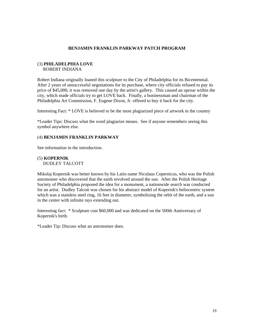#### **BENJAMIN FRANKLIN PARKWAY PATCH PROGRAM**

#### (3) **PHILADELPHIA LOVE** ROBERT INDIANA

Robert Indiana originally loaned this sculpture to the City of Philadelphia for its Bicentennial. After 2 years of unsuccessful negotiations for its purchase, where city officials refused to pay its price of \$45,000, it was removed one day by the artist's gallery. This caused an uproar within the city, which made officials try to get LOVE back. Finally, a businessman and chairman of the Philadelphia Art Commission, F. Eugene Dixon, Jr. offered to buy it back for the city.

Interesting Fact: \* LOVE is believed to be the most plagiarized piece of artwork in the country

\*Leader Tips: Discuss what the word plagiarize means. See if anyone remembers seeing this symbol anywhere else.

#### (4) **BENJAMIN FRANKLIN PARKWAY**

See information in the introduction.

(5) **KOPERNIK**  DUDLEY TALCOTT

Mikolaj Kopernik was better known by his Latin name Nicolaus Copernicus, who was the Polish astronomer who discovered that the earth revolved around the sun. After the Polish Heritage Society of Philadelphia proposed the idea for a monument, a nationwide search was conducted for an artist. Dudley Talcott was chosen for his abstract model of Kopernik's heliocentric system which was a stainless steel ring, 16 feet in diameter, symbolizing the orbit of the earth, and a sun in the center with infinite rays extending out.

Interesting fact: \* Sculpture cost \$60,000 and was dedicated on the 500th Anniversary of Kopernik's birth.

\*Leader Tip: Discuss what an astronomer does.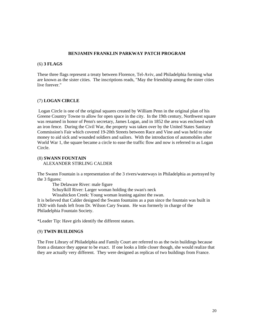#### **BENJAMIN FRANKLIN PARKWAY PATCH PROGRAM**

#### (6) **3 FLAGS**

These three flags represent a treaty between Florence, Tel-Aviv, and Philadelphia forming what are known as the sister cities. The inscriptions reads, "May the friendship among the sister cities live forever."

#### (7) **LOGAN CIRCLE**

 Logan Circle is one of the original squares created by William Penn in the original plan of his Greene Country Towne to allow for open space in the city. In the 19th century, Northwest square was renamed in honor of Penn's secretary, James Logan, and in 1852 the area was enclosed with an iron fence. During the Civil War, the property was taken over by the United States Sanitary Commission's Fair which covered 19-20th Streets between Race and Vine and was held to raise money to aid sick and wounded soldiers and sailors. With the introduction of automobiles after World War 1, the square became a circle to ease the traffic flow and now is referred to as Logan Circle.

#### (8) **SWANN FOUNTAIN** ALEXANDER STIRLING CALDER

The Swann Fountain is a representation of the 3 rivers/waterways in Philadelphia as portrayed by the 3 figures:

 The Delaware River: male figure Schuylkill River: Larger woman holding the swan's neck

Wissahickon Creek: Young woman leaning against the swan.

It is believed that Calder designed the Swann fountains as a pun since the fountain was built in 1920 with funds left from Dr. Wilson Cary Swann. He was formerly in charge of the Philadelphia Fountain Society.

\*Leader Tip: Have girls identify the different statues.

#### (9) **TWIN BUILDINGS**

The Free Library of Philadelphia and Family Court are referred to as the twin buildings because from a distance they appear to be exact. If one looks a little closer though, she would realize that they are actually very different. They were designed as replicas of two buildings from France.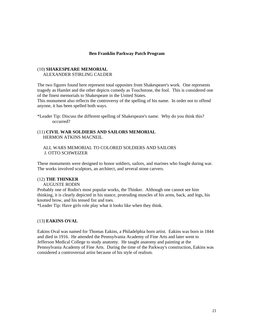#### **Ben Franklin Parkway Patch Program**

# (10) **SHAKESPEARE MEMORIAL**

ALEXANDER STIRLING CALDER

The two figures found here represent total opposites from Shakespeare's work. One represents tragedy as Hamlet and the other depicts comedy as Touchstone, the fool. This is considered one of the finest memorials to Shakespeare in the United States.

This monument also reflects the controversy of the spelling of his name. In order not to offend anyone, it has been spelled both ways.

\*Leader Tip: Discuss the different spelling of Shakespeare's name. Why do you think this? occurred?

#### (11) **CIVIL WAR SOLDIERS AND SAILORS MEMORIAL** HERMON ATKINS MACNEIL

#### ALL WARS MEMORIAL TO COLORED SOLDIERS AND SAILORS J. OTTO SCHWEIZER

These monuments were designed to honor soldiers, sailors, and marines who fought during war. The works involved sculptors, an architect, and several stone carvers.

#### (12) **THE THINKER**

#### AUGUSTE RODIN

Probably one of Rodin's most popular works, the Thinker. Although one cannot see him thinking, it is clearly depicted in his stance, protruding muscles of his arms, back, and legs, his knotted brow, and his tensed fist and toes.

\*Leader Tip: Have girls role play what it looks like when they think.

#### (13) **EAKINS OVAL**

Eakins Oval was named for Thomas Eakins, a Philadelphia born artist. Eakins was born in 1844 and died in 1916. He attended the Pennsylvania Academy of Fine Arts and later went to Jefferson Medical College to study anatomy. He taught anatomy and painting at the Pennsylvania Academy of Fine Arts. During the time of the Parkway's construction, Eakins was considered a controversial artist because of his style of realism.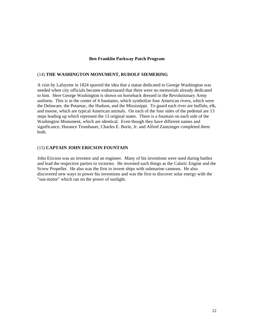#### **Ben Franklin Parkway Patch Program**

#### (14) **THE WASHINGTON MONUMENT, RUDOLF SIEMERING**

A visit by Lafayette in 1824 spurred the idea that a statue dedicated to George Washington was needed when city officials became embarrassed that there were no memorials already dedicated to him. Here George Washington is shown on horseback dressed in the Revolutionary Army uniform. This is in the center of 4 fountains, which symbolize four American rivers, which were the Delaware, the Potamac, the Hudson, and the Mississippi. To guard each river are buffalo, elk, and moose, which are typical American animals. On each of the four sides of the pedestal are 13 steps leading up which represent the 13 original states. There is a fountain on each side of the Washington Monument, which are identical. Even though they have different names and significance, Horance Trumbauer, Charles E. Borie, Jr. and Alfred Zantzinger completed them both.

#### (15) **CAPTAIN JOHN ERICSON FOUNTAIN**

John Ericson was an inventor and an engineer. Many of his inventions were used during battles and lead the respective parties to victories. He invented such things as the Caloric Engine and the Screw Propeller. He also was the first to invent ships with submarine cannons. He also discovered new ways to power his inventions and was the first to discover solar energy with the "sun-motor" which ran on the power of sunlight.